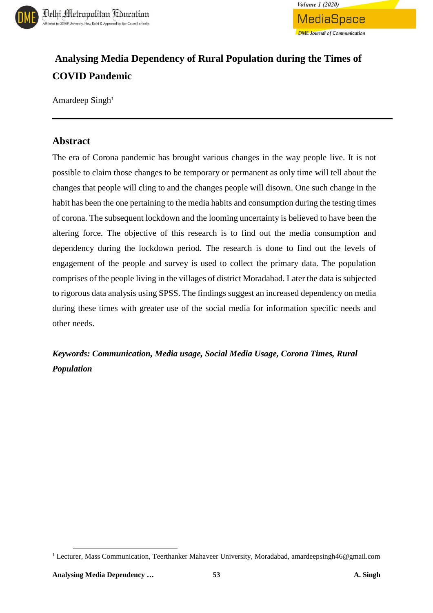



# **Analysing Media Dependency of Rural Population during the Times of COVID Pandemic**

Amardeep Singh<sup>1</sup>

### **Abstract**

The era of Corona pandemic has brought various changes in the way people live. It is not possible to claim those changes to be temporary or permanent as only time will tell about the changes that people will cling to and the changes people will disown. One such change in the habit has been the one pertaining to the media habits and consumption during the testing times of corona. The subsequent lockdown and the looming uncertainty is believed to have been the altering force. The objective of this research is to find out the media consumption and dependency during the lockdown period. The research is done to find out the levels of engagement of the people and survey is used to collect the primary data. The population comprises of the people living in the villages of district Moradabad. Later the data is subjected to rigorous data analysis using SPSS. The findings suggest an increased dependency on media during these times with greater use of the social media for information specific needs and other needs.

*Keywords: Communication, Media usage, Social Media Usage, Corona Times, Rural Population*

 $\overline{\phantom{a}}$ 

<sup>&</sup>lt;sup>1</sup> Lecturer, Mass Communication, Teerthanker Mahaveer University, Moradabad, amardeepsingh46@gmail.com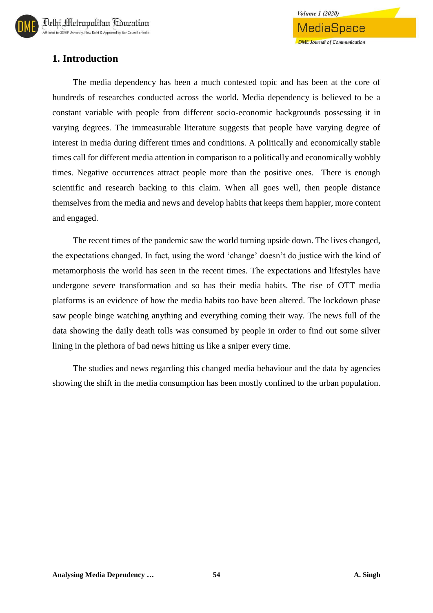# **1. Introduction**

The media dependency has been a much contested topic and has been at the core of hundreds of researches conducted across the world. Media dependency is believed to be a constant variable with people from different socio-economic backgrounds possessing it in varying degrees. The immeasurable literature suggests that people have varying degree of interest in media during different times and conditions. A politically and economically stable times call for different media attention in comparison to a politically and economically wobbly times. Negative occurrences attract people more than the positive ones. There is enough scientific and research backing to this claim. When all goes well, then people distance themselves from the media and news and develop habits that keeps them happier, more content and engaged.

The recent times of the pandemic saw the world turning upside down. The lives changed, the expectations changed. In fact, using the word 'change' doesn't do justice with the kind of metamorphosis the world has seen in the recent times. The expectations and lifestyles have undergone severe transformation and so has their media habits. The rise of OTT media platforms is an evidence of how the media habits too have been altered. The lockdown phase saw people binge watching anything and everything coming their way. The news full of the data showing the daily death tolls was consumed by people in order to find out some silver lining in the plethora of bad news hitting us like a sniper every time.

The studies and news regarding this changed media behaviour and the data by agencies showing the shift in the media consumption has been mostly confined to the urban population.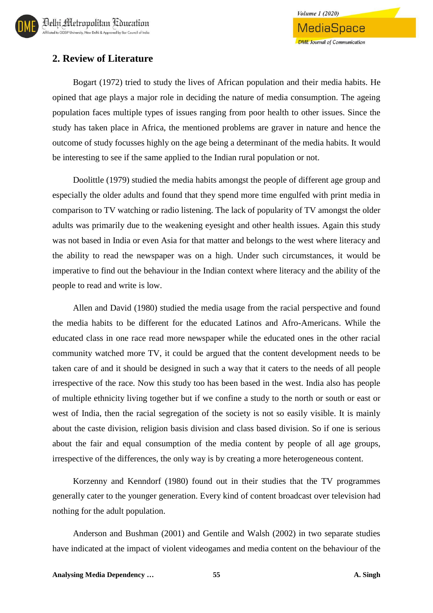## **2. Review of Literature**

Bogart (1972) tried to study the lives of African population and their media habits. He opined that age plays a major role in deciding the nature of media consumption. The ageing population faces multiple types of issues ranging from poor health to other issues. Since the study has taken place in Africa, the mentioned problems are graver in nature and hence the outcome of study focusses highly on the age being a determinant of the media habits. It would be interesting to see if the same applied to the Indian rural population or not.

Doolittle (1979) studied the media habits amongst the people of different age group and especially the older adults and found that they spend more time engulfed with print media in comparison to TV watching or radio listening. The lack of popularity of TV amongst the older adults was primarily due to the weakening eyesight and other health issues. Again this study was not based in India or even Asia for that matter and belongs to the west where literacy and the ability to read the newspaper was on a high. Under such circumstances, it would be imperative to find out the behaviour in the Indian context where literacy and the ability of the people to read and write is low.

Allen and David (1980) studied the media usage from the racial perspective and found the media habits to be different for the educated Latinos and Afro-Americans. While the educated class in one race read more newspaper while the educated ones in the other racial community watched more TV, it could be argued that the content development needs to be taken care of and it should be designed in such a way that it caters to the needs of all people irrespective of the race. Now this study too has been based in the west. India also has people of multiple ethnicity living together but if we confine a study to the north or south or east or west of India, then the racial segregation of the society is not so easily visible. It is mainly about the caste division, religion basis division and class based division. So if one is serious about the fair and equal consumption of the media content by people of all age groups, irrespective of the differences, the only way is by creating a more heterogeneous content.

Korzenny and Kenndorf (1980) found out in their studies that the TV programmes generally cater to the younger generation. Every kind of content broadcast over television had nothing for the adult population.

Anderson and Bushman (2001) and Gentile and Walsh (2002) in two separate studies have indicated at the impact of violent videogames and media content on the behaviour of the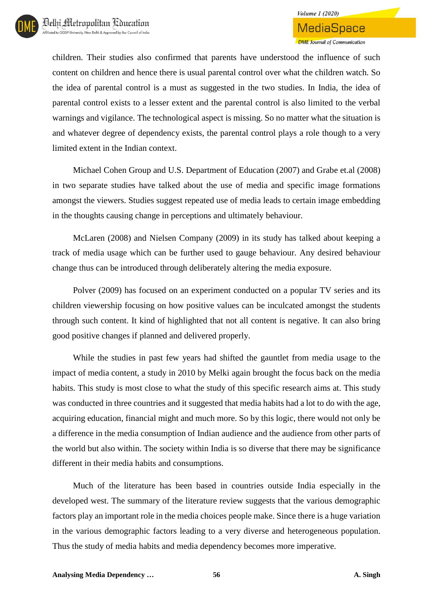children. Their studies also confirmed that parents have understood the influence of such content on children and hence there is usual parental control over what the children watch. So the idea of parental control is a must as suggested in the two studies. In India, the idea of parental control exists to a lesser extent and the parental control is also limited to the verbal warnings and vigilance. The technological aspect is missing. So no matter what the situation is and whatever degree of dependency exists, the parental control plays a role though to a very limited extent in the Indian context.

Michael Cohen Group and U.S. Department of Education (2007) and Grabe et.al (2008) in two separate studies have talked about the use of media and specific image formations amongst the viewers. Studies suggest repeated use of media leads to certain image embedding in the thoughts causing change in perceptions and ultimately behaviour.

McLaren (2008) and Nielsen Company (2009) in its study has talked about keeping a track of media usage which can be further used to gauge behaviour. Any desired behaviour change thus can be introduced through deliberately altering the media exposure.

Polver (2009) has focused on an experiment conducted on a popular TV series and its children viewership focusing on how positive values can be inculcated amongst the students through such content. It kind of highlighted that not all content is negative. It can also bring good positive changes if planned and delivered properly.

While the studies in past few years had shifted the gauntlet from media usage to the impact of media content, a study in 2010 by Melki again brought the focus back on the media habits. This study is most close to what the study of this specific research aims at. This study was conducted in three countries and it suggested that media habits had a lot to do with the age, acquiring education, financial might and much more. So by this logic, there would not only be a difference in the media consumption of Indian audience and the audience from other parts of the world but also within. The society within India is so diverse that there may be significance different in their media habits and consumptions.

Much of the literature has been based in countries outside India especially in the developed west. The summary of the literature review suggests that the various demographic factors play an important role in the media choices people make. Since there is a huge variation in the various demographic factors leading to a very diverse and heterogeneous population. Thus the study of media habits and media dependency becomes more imperative.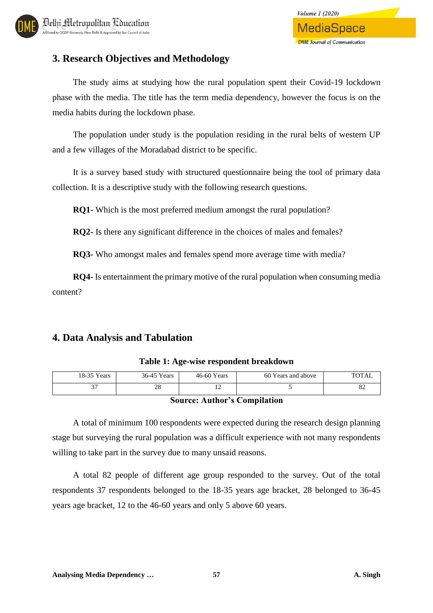# **3. Research Objectives and Methodology**

The study aims at studying how the rural population spent their Covid-19 lockdown phase with the media. The title has the term media dependency, however the focus is on the media habits during the lockdown phase.

The population under study is the population residing in the rural belts of western UP and a few villages of the Moradabad district to be specific.

It is a survey based study with structured questionnaire being the tool of primary data collection. It is a descriptive study with the following research questions.

**RQ1-** Which is the most preferred medium amongst the rural population?

**RQ2-** Is there any significant difference in the choices of males and females?

**RQ3-** Who amongst males and females spend more average time with media?

**RQ4-** Is entertainment the primary motive of the rural population when consuming media content?

### **4. Data Analysis and Tabulation**

| 18-35 Years | 36-45 Years      | $46-60$ Years | 60 Years and above | <b>TOTAL</b> |
|-------------|------------------|---------------|--------------------|--------------|
| ົ           | ററ<br>$\angle 0$ |               |                    | o∠           |

#### **Table 1: Age-wise respondent breakdown**

#### **Source: Author's Compilation**

A total of minimum 100 respondents were expected during the research design planning stage but surveying the rural population was a difficult experience with not many respondents willing to take part in the survey due to many unsaid reasons.

A total 82 people of different age group responded to the survey. Out of the total respondents 37 respondents belonged to the 18-35 years age bracket, 28 belonged to 36-45 years age bracket, 12 to the 46-60 years and only 5 above 60 years.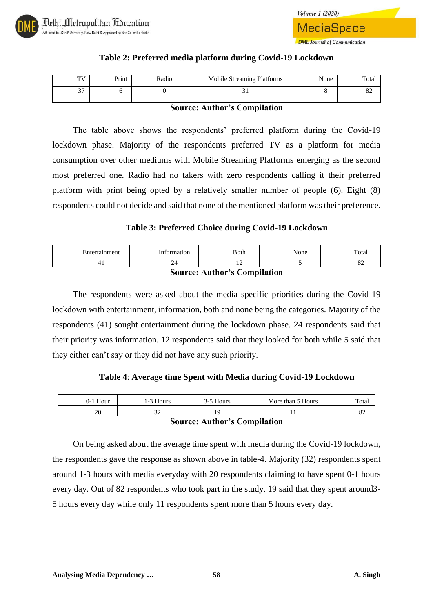

**Volume 1 (2020)** MediaSpace **DME** Journal of Communication

#### **Table 2: Preferred media platform during Covid-19 Lockdown**

| $\sim$<br>oΖ<br>ັບ ≀ | TV<br>. . | Print | Radio | Mobile Streaming Platforms | None | Total |
|----------------------|-----------|-------|-------|----------------------------|------|-------|
|                      |           |       |       |                            |      |       |

#### **Source: Author's Compilation**

The table above shows the respondents' preferred platform during the Covid-19 lockdown phase. Majority of the respondents preferred TV as a platform for media consumption over other mediums with Mobile Streaming Platforms emerging as the second most preferred one. Radio had no takers with zero respondents calling it their preferred platform with print being opted by a relatively smaller number of people (6). Eight (8) respondents could not decide and said that none of the mentioned platform was their preference.

#### **Table 3: Preferred Choice during Covid-19 Lockdown**

| <b>Source: Author's Compilation</b>                   |  |  |  |  |  |  |
|-------------------------------------------------------|--|--|--|--|--|--|
| 82<br>4<br>. .                                        |  |  |  |  |  |  |
| Information<br>None<br>Total<br>Entertainment<br>Both |  |  |  |  |  |  |

The respondents were asked about the media specific priorities during the Covid-19 lockdown with entertainment, information, both and none being the categories. Majority of the respondents (41) sought entertainment during the lockdown phase. 24 respondents said that their priority was information. 12 respondents said that they looked for both while 5 said that they either can't say or they did not have any such priority.

#### **Table 4**: **Average time Spent with Media during Covid-19 Lockdown**

| $0-1$ Hour | 1-3 Hours   | 3-5 Hours | More than 5 Hours | Total |
|------------|-------------|-----------|-------------------|-------|
| nn<br>ZU   | $\sim$<br>ັ |           |                   | o∠    |

#### **Source: Author's Compilation**

On being asked about the average time spent with media during the Covid-19 lockdown, the respondents gave the response as shown above in table-4. Majority (32) respondents spent around 1-3 hours with media everyday with 20 respondents claiming to have spent 0-1 hours every day. Out of 82 respondents who took part in the study, 19 said that they spent around3- 5 hours every day while only 11 respondents spent more than 5 hours every day.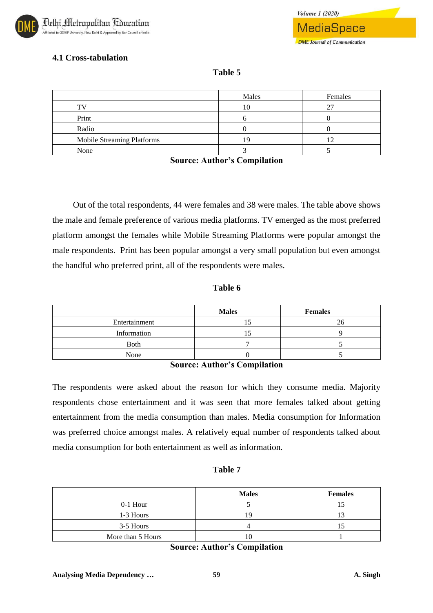

### **4.1 Cross-tabulation**

### **Table 5**

|                            | Males | Females |
|----------------------------|-------|---------|
| тv                         | 10    |         |
| Print                      |       |         |
| Radio                      |       |         |
| Mobile Streaming Platforms | 19    |         |
| None                       |       |         |

**Source: Author's Compilation**

Out of the total respondents, 44 were females and 38 were males. The table above shows the male and female preference of various media platforms. TV emerged as the most preferred platform amongst the females while Mobile Streaming Platforms were popular amongst the male respondents. Print has been popular amongst a very small population but even amongst the handful who preferred print, all of the respondents were males.

#### **Table 6**

|               | <b>Males</b> | <b>Females</b> |
|---------------|--------------|----------------|
| Entertainment |              |                |
| Information   |              |                |
| Both          |              |                |
| None          |              |                |

#### **Source: Author's Compilation**

The respondents were asked about the reason for which they consume media. Majority respondents chose entertainment and it was seen that more females talked about getting entertainment from the media consumption than males. Media consumption for Information was preferred choice amongst males. A relatively equal number of respondents talked about media consumption for both entertainment as well as information.

#### **Table 7**

|                   | <b>Males</b> | <b>Females</b> |
|-------------------|--------------|----------------|
| $0-1$ Hour        |              |                |
| 1-3 Hours         | 1 G          |                |
| 3-5 Hours         |              |                |
| More than 5 Hours |              |                |

**Source: Author's Compilation**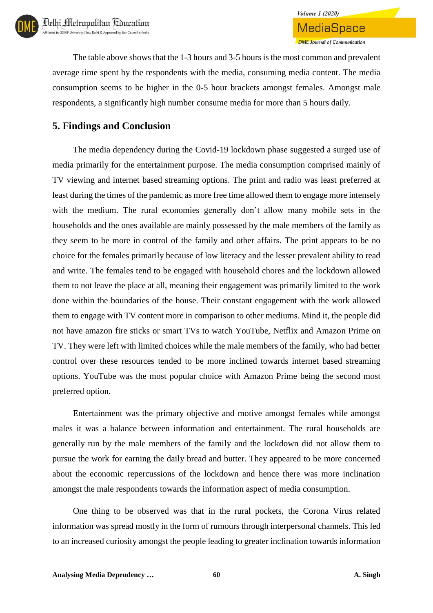**DME** Journal of Communication The table above shows that the 1-3 hours and 3-5 hours is the most common and prevalent average time spent by the respondents with the media, consuming media content. The media consumption seems to be higher in the 0-5 hour brackets amongst females. Amongst male

**Volume 1 (2020)** 

**MediaSpace** 

respondents, a significantly high number consume media for more than 5 hours daily.

## **5. Findings and Conclusion**

The media dependency during the Covid-19 lockdown phase suggested a surged use of media primarily for the entertainment purpose. The media consumption comprised mainly of TV viewing and internet based streaming options. The print and radio was least preferred at least during the times of the pandemic as more free time allowed them to engage more intensely with the medium. The rural economies generally don't allow many mobile sets in the households and the ones available are mainly possessed by the male members of the family as they seem to be more in control of the family and other affairs. The print appears to be no choice for the females primarily because of low literacy and the lesser prevalent ability to read and write. The females tend to be engaged with household chores and the lockdown allowed them to not leave the place at all, meaning their engagement was primarily limited to the work done within the boundaries of the house. Their constant engagement with the work allowed them to engage with TV content more in comparison to other mediums. Mind it, the people did not have amazon fire sticks or smart TVs to watch YouTube, Netflix and Amazon Prime on TV. They were left with limited choices while the male members of the family, who had better control over these resources tended to be more inclined towards internet based streaming options. YouTube was the most popular choice with Amazon Prime being the second most preferred option.

Entertainment was the primary objective and motive amongst females while amongst males it was a balance between information and entertainment. The rural households are generally run by the male members of the family and the lockdown did not allow them to pursue the work for earning the daily bread and butter. They appeared to be more concerned about the economic repercussions of the lockdown and hence there was more inclination amongst the male respondents towards the information aspect of media consumption.

One thing to be observed was that in the rural pockets, the Corona Virus related information was spread mostly in the form of rumours through interpersonal channels. This led to an increased curiosity amongst the people leading to greater inclination towards information